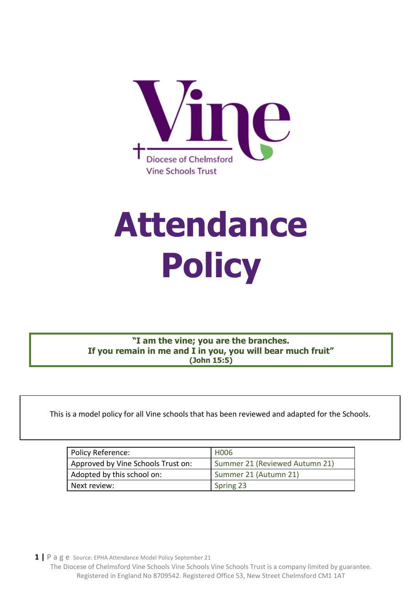

# **Attendance Policy**

**"I am the vine; you are the branches. If you remain in me and I in you, you will bear much fruit" (John 15:5)**

This is a model policy for all Vine schools that has been reviewed and adapted for the Schools.

| Policy Reference:                  | H006                           |
|------------------------------------|--------------------------------|
| Approved by Vine Schools Trust on: | Summer 21 (Reviewed Autumn 21) |
| Adopted by this school on:         | Summer 21 (Autumn 21)          |
| Next review:                       | Spring 23                      |

**1 |** P a g e Source: EPHA Attendance Model Policy September 21

 $\blacksquare$ 

The Diocese of Chelmsford Vine Schools Vine Schools Vine Schools Trust is a company limited by guarantee. Registered in England No 8709542. Registered Office 53, New Street Chelmsford CM1 1AT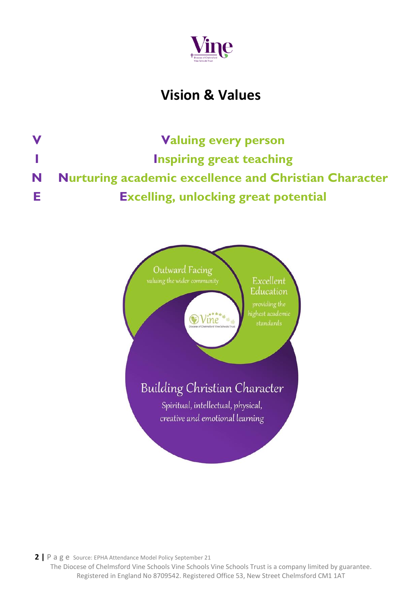

## **Vision & Values**

**V Valuing every person I Inspiring great teaching N Nurturing academic excellence and Christian Character E Excelling, unlocking great potential**

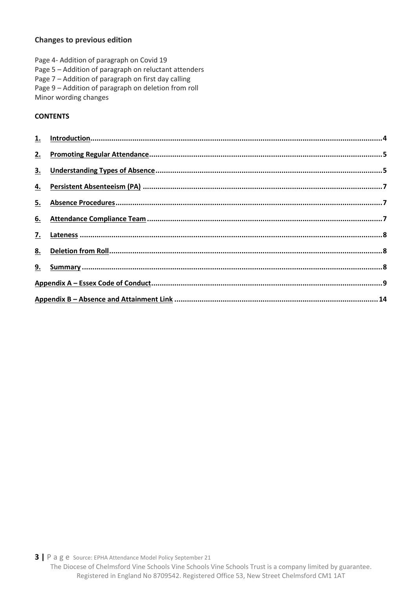#### **Changes to previous edition**

Page 4- Addition of paragraph on Covid 19 Page 5 – Addition of paragraph on reluctant attenders Page 7 – Addition of paragraph on first day calling Page 9 – Addition of paragraph on deletion from roll Minor wording changes

#### **CONTENTS**

| 2.             |  |
|----------------|--|
| 3 <sub>1</sub> |  |
| <u>4.</u>      |  |
| 5.             |  |
| <u>6.</u>      |  |
| 7.             |  |
| <u>8.</u>      |  |
|                |  |
|                |  |
|                |  |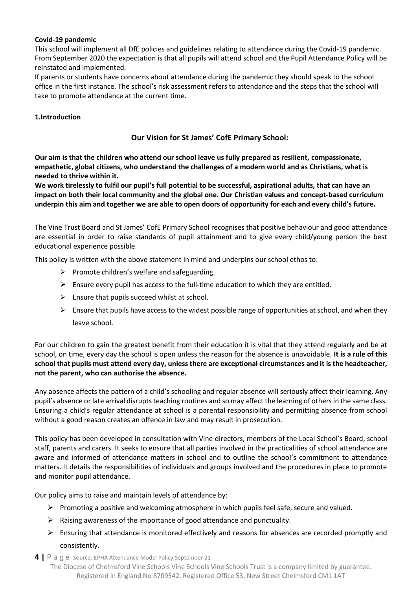#### <span id="page-3-0"></span>**Covid-19 pandemic**

This school will implement all DfE policies and guidelines relating to attendance during the Covid-19 pandemic. From September 2020 the expectation is that all pupils will attend school and the Pupil Attendance Policy will be reinstated and implemented.

If parents or students have concerns about attendance during the pandemic they should speak to the school office in the first instance. The school's risk assessment refers to attendance and the steps that the school will take to promote attendance at the current time.

#### **1.Introduction**

#### **Our Vision for St James' CofE Primary School:**

**Our aim is that the children who attend our school leave us fully prepared as resilient, compassionate, empathetic, global citizens, who understand the challenges of a modern world and as Christians, what is needed to thrive within it.**

**We work tirelessly to fulfil our pupil's full potential to be successful, aspirational adults, that can have an impact on both their local community and the global one. Our Christian values and concept-based curriculum underpin this aim and together we are able to open doors of opportunity for each and every child's future.**

The Vine Trust Board and St James' CofE Primary School recognises that positive behaviour and good attendance are essential in order to raise standards of pupil attainment and to give every child/young person the best educational experience possible.

This policy is written with the above statement in mind and underpins our school ethos to:

- $\triangleright$  Promote children's welfare and safeguarding.
- $\triangleright$  Ensure every pupil has access to the full-time education to which they are entitled.
- $\triangleright$  Ensure that pupils succeed whilst at school.
- $\triangleright$  Ensure that pupils have access to the widest possible range of opportunities at school, and when they leave school.

For our children to gain the greatest benefit from their education it is vital that they attend regularly and be at school, on time, every day the school is open unless the reason for the absence is unavoidable. **It is a rule of this school that pupils must attend every day, unless there are exceptional circumstances and it is the headteacher, not the parent, who can authorise the absence.**

Any absence affects the pattern of a child's schooling and regular absence will seriously affect their learning. Any pupil's absence or late arrival disrupts teaching routines and so may affect the learning of others in the same class. Ensuring a child's regular attendance at school is a parental responsibility and permitting absence from school without a good reason creates an offence in law and may result in prosecution.

This policy has been developed in consultation with Vine directors, members of the Local School's Board, school staff, parents and carers. It seeks to ensure that all parties involved in the practicalities of school attendance are aware and informed of attendance matters in school and to outline the school's commitment to attendance matters. It details the responsibilities of individuals and groups involved and the procedures in place to promote and monitor pupil attendance.

Our policy aims to raise and maintain levels of attendance by:

- ➢ Promoting a positive and welcoming atmosphere in which pupils feel safe, secure and valued.
- ➢ Raising awareness of the importance of good attendance and punctuality.
- $\triangleright$  Ensuring that attendance is monitored effectively and reasons for absences are recorded promptly and consistently.
- **4 |** P a g e Source: EPHA Attendance Model Policy September 21
	- The Diocese of Chelmsford Vine Schools Vine Schools Vine Schools Trust is a company limited by guarantee. Registered in England No 8709542. Registered Office 53, New Street Chelmsford CM1 1AT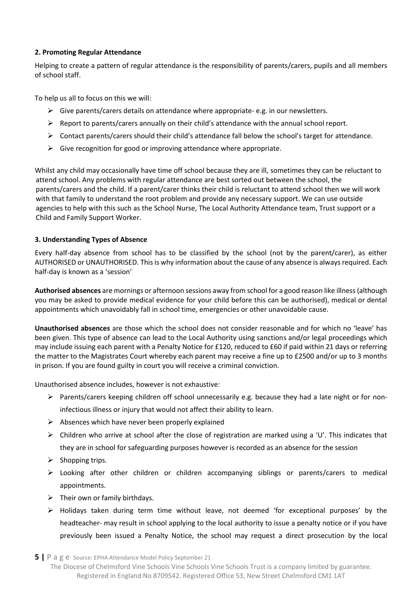#### <span id="page-4-0"></span>**2. Promoting Regular Attendance**

Helping to create a pattern of regular attendance is the responsibility of parents/carers, pupils and all members of school staff.

To help us all to focus on this we will:

- $\triangleright$  Give parents/carers details on attendance where appropriate- e.g. in our newsletters.
- $\triangleright$  Report to parents/carers annually on their child's attendance with the annual school report.
- ➢ Contact parents/carers should their child's attendance fall below the school's target for attendance.
- $\triangleright$  Give recognition for good or improving attendance where appropriate.

 Whilst any child may occasionally have time off school because they are ill, sometimes they can be reluctant to attend school. Any problems with regular attendance are best sorted out between the school, the parents/carers and the child. If a parent/carer thinks their child is reluctant to attend school then we will work with that family to understand the root problem and provide any necessary support. We can use outside agencies to help with this such as the School Nurse, The Local Authority Attendance team, Trust support or a Child and Family Support Worker.

#### <span id="page-4-1"></span>**3. Understanding Types of Absence**

Every half-day absence from school has to be classified by the school (not by the parent/carer), as either AUTHORISED or UNAUTHORISED. This is why information about the cause of any absence is always required. Each half-day is known as a 'session'

**Authorised absences** are mornings or afternoon sessions away from school for a good reason like illness (although you may be asked to provide medical evidence for your child before this can be authorised), medical or dental appointments which unavoidably fall in school time, emergencies or other unavoidable cause.

**Unauthorised absences** are those which the school does not consider reasonable and for which no 'leave' has been given. This type of absence can lead to the Local Authority using sanctions and/or legal proceedings which may include issuing each parent with a Penalty Notice for £120, reduced to £60 if paid within 21 days or referring the matter to the Magistrates Court whereby each parent may receive a fine up to £2500 and/or up to 3 months in prison. If you are found guilty in court you will receive a criminal conviction.

Unauthorised absence includes, however is not exhaustive:

- $\triangleright$  Parents/carers keeping children off school unnecessarily e.g. because they had a late night or for noninfectious illness or injury that would not affect their ability to learn.
- $\triangleright$  Absences which have never been properly explained
- $\triangleright$  Children who arrive at school after the close of registration are marked using a 'U'. This indicates that they are in school for safeguarding purposes however is recorded as an absence for the session
- $\triangleright$  Shopping trips.
- ➢ Looking after other children or children accompanying siblings or parents/carers to medical appointments.
- $\triangleright$  Their own or family birthdays.
- ➢ Holidays taken during term time without leave, not deemed 'for exceptional purposes' by the headteacher- may result in school applying to the local authority to issue a penalty notice or if you have previously been issued a Penalty Notice, the school may request a direct prosecution by the local

**5 |** P a g e Source: EPHA Attendance Model Policy September 21

The Diocese of Chelmsford Vine Schools Vine Schools Vine Schools Trust is a company limited by guarantee. Registered in England No 8709542. Registered Office 53, New Street Chelmsford CM1 1AT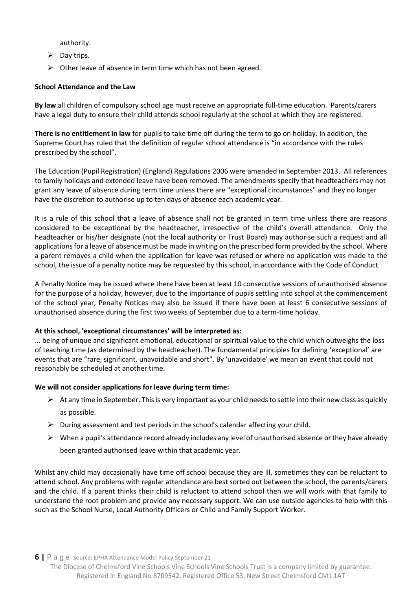authority.

- $\triangleright$  Day trips.
- $\triangleright$  Other leave of absence in term time which has not been agreed.

#### **School Attendance and the Law**

**By law** all children of compulsory school age must receive an appropriate full-time education. Parents/carers have a legal duty to ensure their child attends school regularly at the school at which they are registered.

**There is no entitlement in law** for pupils to take time off during the term to go on holiday. In addition, the Supreme Court has ruled that the definition of regular school attendance is "in accordance with the rules prescribed by the school".

The Education (Pupil Registration) (England) Regulations 2006 were amended in September 2013. All references to family holidays and extended leave have been removed. The amendments specify that headteachers may not grant any leave of absence during term time unless there are "exceptional circumstances" and they no longer have the discretion to authorise up to ten days of absence each academic year.

It is a rule of this school that a leave of absence shall not be granted in term time unless there are reasons considered to be exceptional by the headteacher, irrespective of the child's overall attendance. Only the headteacher or his/her designate (not the local authority or Trust Board) may authorise such a request and all applications for a leave of absence must be made in writing on the prescribed form provided by the school. Where a parent removes a child when the application for leave was refused or where no application was made to the school, the issue of a penalty notice may be requested by this school, in accordance with the Code of Conduct.

A Penalty Notice may be issued where there have been at least 10 consecutive sessions of unauthorised absence for the purpose of a holiday, however, due to the importance of pupils settling into school at the commencement of the school year, Penalty Notices may also be issued if there have been at least 6 consecutive sessions of unauthorised absence during the first two weeks of September due to a term-time holiday.

#### **At this school, 'exceptional circumstances' will be interpreted as:**

... being of unique and significant emotional, educational or spiritual value to the child which outweighs the loss of teaching time (as determined by the headteacher). The fundamental principles for defining 'exceptional' are events that are "rare, significant, unavoidable and short". By 'unavoidable' we mean an event that could not reasonably be scheduled at another time.

#### **We will not consider applications for leave during term time:**

- $\triangleright$  At any time in September. This is very important as your child needs to settle into their new class as quickly as possible.
- $\triangleright$  During assessment and test periods in the school's calendar affecting your child.
- $\triangleright$  When a pupil's attendance record already includes any level of unauthorised absence or they have already been granted authorised leave within that academic year.

Whilst any child may occasionally have time off school because they are ill, sometimes they can be reluctant to attend school. Any problems with regular attendance are best sorted out between the school, the parents/carers and the child. If a parent thinks their child is reluctant to attend school then we will work with that family to understand the root problem and provide any necessary support. We can use outside agencies to help with this such as the School Nurse, Local Authority Officers or Child and Family Support Worker.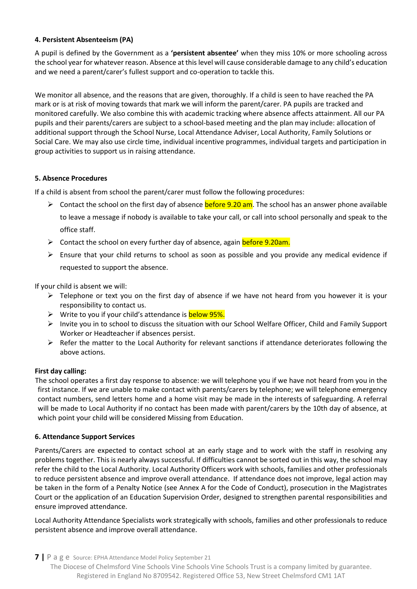#### <span id="page-6-0"></span>**4. Persistent Absenteeism (PA)**

A pupil is defined by the Government as a **'persistent absentee'** when they miss 10% or more schooling across the school year for whatever reason. Absence at this level will cause considerable damage to any child's education and we need a parent/carer's fullest support and co-operation to tackle this.

We monitor all absence, and the reasons that are given, thoroughly. If a child is seen to have reached the PA mark or is at risk of moving towards that mark we will inform the parent/carer. PA pupils are tracked and monitored carefully. We also combine this with academic tracking where absence affects attainment. All our PA pupils and their parents/carers are subject to a school-based meeting and the plan may include: allocation of additional support through the School Nurse, Local Attendance Adviser, Local Authority, Family Solutions or Social Care. We may also use circle time, individual incentive programmes, individual targets and participation in group activities to support us in raising attendance.

#### <span id="page-6-1"></span>**5. Absence Procedures**

If a child is absent from school the parent/carer must follow the following procedures:

- $\triangleright$  Contact the school on the first day of absence **before 9.20 am**. The school has an answer phone available to leave a message if nobody is available to take your call, or call into school personally and speak to the office staff.
- ➢ Contact the school on every further day of absence, again before 9.20am.
- $\triangleright$  Ensure that your child returns to school as soon as possible and you provide any medical evidence if requested to support the absence.

If your child is absent we will:

- $\triangleright$  Telephone or text you on the first day of absence if we have not heard from you however it is your responsibility to contact us.
- ➢ Write to you if your child's attendance is below 95%.
- ➢ Invite you in to school to discuss the situation with our School Welfare Officer, Child and Family Support Worker or Headteacher if absences persist.
- $\triangleright$  Refer the matter to the Local Authority for relevant sanctions if attendance deteriorates following the above actions.

#### **First day calling:**

 The school operates a first day response to absence: we will telephone you if we have not heard from you in the first instance. If we are unable to make contact with parents/carers by telephone; we will telephone emergency contact numbers, send letters home and a home visit may be made in the interests of safeguarding. A referral will be made to Local Authority if no contact has been made with parent/carers by the 10th day of absence, at which point your child will be considered Missing from Education.

#### <span id="page-6-2"></span>**6. Attendance Support Services**

Parents/Carers are expected to contact school at an early stage and to work with the staff in resolving any problems together. This is nearly always successful. If difficulties cannot be sorted out in this way, the school may refer the child to the Local Authority. Local Authority Officers work with schools, families and other professionals to reduce persistent absence and improve overall attendance. If attendance does not improve, legal action may be taken in the form of a Penalty Notice (see Annex A for the Code of Conduct), prosecution in the Magistrates Court or the application of an Education Supervision Order, designed to strengthen parental responsibilities and ensure improved attendance.

Local Authority Attendance Specialists work strategically with schools, families and other professionals to reduce persistent absence and improve overall attendance.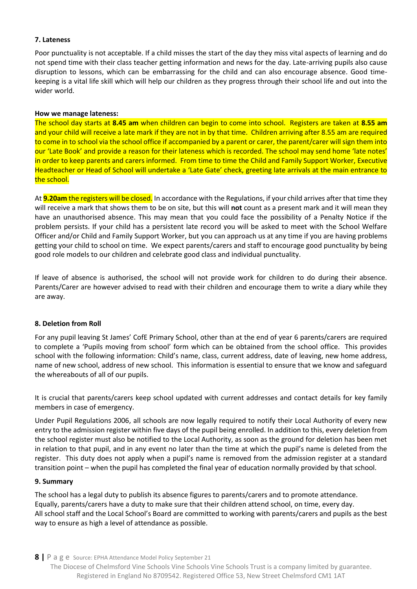#### <span id="page-7-0"></span>**7. Lateness**

Poor punctuality is not acceptable. If a child misses the start of the day they miss vital aspects of learning and do not spend time with their class teacher getting information and news for the day. Late-arriving pupils also cause disruption to lessons, which can be embarrassing for the child and can also encourage absence. Good timekeeping is a vital life skill which will help our children as they progress through their school life and out into the wider world.

#### **How we manage lateness:**

The school day starts at **8.45 am** when children can begin to come into school. Registers are taken at **8.55 am**  and your child will receive a late mark if they are not in by that time. Children arriving after 8.55 am are required to come in to school via the school office if accompanied by a parent or carer, the parent/carer will sign them into our 'Late Book' and provide a reason for their lateness which is recorded. The school may send home 'late notes' in order to keep parents and carers informed. From time to time the Child and Family Support Worker, Executive Headteacher or Head of School will undertake a 'Late Gate' check, greeting late arrivals at the main entrance to the school.

At **9.20am** the registers will be closed. In accordance with the Regulations, if your child arrives after that time they will receive a mark that shows them to be on site, but this will **not** count as a present mark and it will mean they have an unauthorised absence. This may mean that you could face the possibility of a Penalty Notice if the problem persists. If your child has a persistent late record you will be asked to meet with the School Welfare Officer and/or Child and Family Support Worker, but you can approach us at any time if you are having problems getting your child to school on time. We expect parents/carers and staff to encourage good punctuality by being good role models to our children and celebrate good class and individual punctuality.

If leave of absence is authorised, the school will not provide work for children to do during their absence. Parents/Carer are however advised to read with their children and encourage them to write a diary while they are away.

#### <span id="page-7-1"></span>**8. Deletion from Roll**

For any pupil leaving St James' CofE Primary School, other than at the end of year 6 parents/carers are required to complete a 'Pupils moving from school' form which can be obtained from the school office. This provides school with the following information: Child's name, class, current address, date of leaving, new home address, name of new school, address of new school. This information is essential to ensure that we know and safeguard the whereabouts of all of our pupils.

It is crucial that parents/carers keep school updated with current addresses and contact details for key family members in case of emergency.

Under Pupil Regulations 2006, all schools are now legally required to notify their Local Authority of every new entry to the admission register within five days of the pupil being enrolled. In addition to this, every deletion from the school register must also be notified to the Local Authority, as soon as the ground for deletion has been met in relation to that pupil, and in any event no later than the time at which the pupil's name is deleted from the register. This duty does not apply when a pupil's name is removed from the admission register at a standard transition point – when the pupil has completed the final year of education normally provided by that school.

#### <span id="page-7-2"></span>**9. Summary**

The school has a legal duty to publish its absence figures to parents/carers and to promote attendance. Equally, parents/carers have a duty to make sure that their children attend school, on time, every day. All school staff and the Local School's Board are committed to working with parents/carers and pupils as the best way to ensure as high a level of attendance as possible.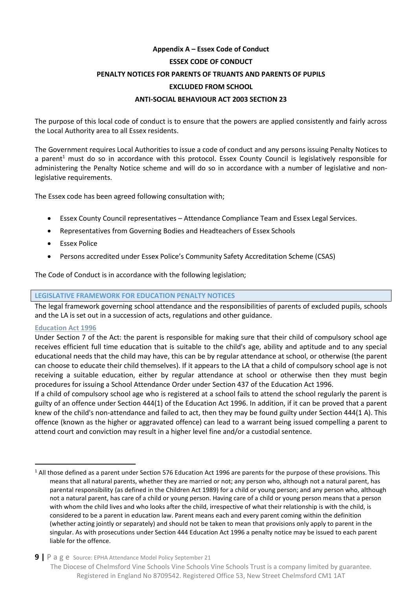### <span id="page-8-0"></span>**Appendix A – Essex Code of Conduct ESSEX CODE OF CONDUCT PENALTY NOTICES FOR PARENTS OF TRUANTS AND PARENTS OF PUPILS EXCLUDED FROM SCHOOL ANTI-SOCIAL BEHAVIOUR ACT 2003 SECTION 23**

The purpose of this local code of conduct is to ensure that the powers are applied consistently and fairly across the Local Authority area to all Essex residents.

The Government requires Local Authorities to issue a code of conduct and any persons issuing Penalty Notices to a parent<sup>1</sup> must do so in accordance with this protocol. Essex County Council is legislatively responsible for administering the Penalty Notice scheme and will do so in accordance with a number of legislative and nonlegislative requirements.

The Essex code has been agreed following consultation with;

- Essex County Council representatives Attendance Compliance Team and Essex Legal Services.
- Representatives from Governing Bodies and Headteachers of Essex Schools
- Essex Police
- Persons accredited under Essex Police's Community Safety Accreditation Scheme (CSAS)

The Code of Conduct is in accordance with the following legislation;

#### **LEGISLATIVE FRAMEWORK FOR EDUCATION PENALTY NOTICES**

The legal framework governing school attendance and the responsibilities of parents of excluded pupils, schools and the LA is set out in a succession of acts, regulations and other guidance.

#### **Education Act 1996**

 $\overline{a}$ 

Under Section 7 of the Act: the parent is responsible for making sure that their child of compulsory school age receives efficient full time education that is suitable to the child's age, ability and aptitude and to any special educational needs that the child may have, this can be by regular attendance at school, or otherwise (the parent can choose to educate their child themselves). If it appears to the LA that a child of compulsory school age is not receiving a suitable education, either by regular attendance at school or otherwise then they must begin procedures for issuing a School Attendance Order under Section 437 of the Education Act 1996.

If a child of compulsory school age who is registered at a school fails to attend the school regularly the parent is guilty of an offence under Section 444(1) of the Education Act 1996. In addition, if it can be proved that a parent knew of the child's non-attendance and failed to act, then they may be found guilty under Section 444(1 A). This offence (known as the higher or aggravated offence) can lead to a warrant being issued compelling a parent to attend court and conviction may result in a higher level fine and/or a custodial sentence.

 $1$  All those defined as a parent under Section 576 Education Act 1996 are parents for the purpose of these provisions. This means that all natural parents, whether they are married or not; any person who, although not a natural parent, has parental responsibility (as defined in the Children Act 1989) for a child or young person; and any person who, although not a natural parent, has care of a child or young person. Having care of a child or young person means that a person with whom the child lives and who looks after the child, irrespective of what their relationship is with the child, is considered to be a parent in education law. Parent means each and every parent coming within the definition (whether acting jointly or separately) and should not be taken to mean that provisions only apply to parent in the singular. As with prosecutions under Section 444 Education Act 1996 a penalty notice may be issued to each parent liable for the offence.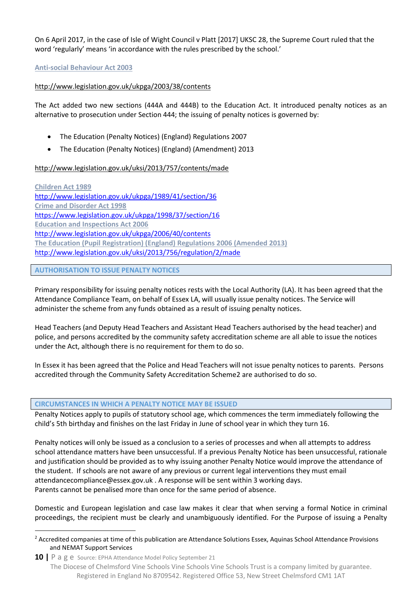On 6 April 2017, in the case of Isle of Wight Council v Platt [2017] UKSC 28, the Supreme Court ruled that the word 'regularly' means 'in accordance with the rules prescribed by the school.'

#### **Anti-social Behaviour Act 2003**

#### <http://www.legislation.gov.uk/ukpga/2003/38/contents>

The Act added two new sections (444A and 444B) to the Education Act. It introduced penalty notices as an alternative to prosecution under Section 444; the issuing of penalty notices is governed by:

- The Education (Penalty Notices) (England) Regulations 2007
- The Education (Penalty Notices) (England) (Amendment) 2013

#### <http://www.legislation.gov.uk/uksi/2013/757/contents/made>

**Children Act 1989**  <http://www.legislation.gov.uk/ukpga/1989/41/section/36> **Crime and Disorder Act 1998**  <https://www.legislation.gov.uk/ukpga/1998/37/section/16> **Education and Inspections Act 2006**  <http://www.legislation.gov.uk/ukpga/2006/40/contents> **The Education (Pupil Registration) (England) Regulations 2006 (Amended 2013)** <http://www.legislation.gov.uk/uksi/2013/756/regulation/2/made>

#### **AUTHORISATION TO ISSUE PENALTY NOTICES**

 $\overline{a}$ 

Primary responsibility for issuing penalty notices rests with the Local Authority (LA). It has been agreed that the Attendance Compliance Team, on behalf of Essex LA, will usually issue penalty notices. The Service will administer the scheme from any funds obtained as a result of issuing penalty notices.

Head Teachers (and Deputy Head Teachers and Assistant Head Teachers authorised by the head teacher) and police, and persons accredited by the community safety accreditation scheme are all able to issue the notices under the Act, although there is no requirement for them to do so.

In Essex it has been agreed that the Police and Head Teachers will not issue penalty notices to parents. Persons accredited through the Community Safety Accreditation Scheme2 are authorised to do so.

#### **CIRCUMSTANCES IN WHICH A PENALTY NOTICE MAY BE ISSUED**

Penalty Notices apply to pupils of statutory school age, which commences the term immediately following the child's 5th birthday and finishes on the last Friday in June of school year in which they turn 16.

Penalty notices will only be issued as a conclusion to a series of processes and when all attempts to address school attendance matters have been unsuccessful. If a previous Penalty Notice has been unsuccessful, rationale and justification should be provided as to why issuing another Penalty Notice would improve the attendance of the student. If schools are not aware of any previous or current legal interventions they must email [attendancecompliance@essex.gov.uk](mailto:attendancecompliance@essex.gov.uk) . A response will be sent within 3 working days. Parents cannot be penalised more than once for the same period of absence.

Domestic and European legislation and case law makes it clear that when serving a formal Notice in criminal proceedings, the recipient must be clearly and unambiguously identified. For the Purpose of issuing a Penalty

<sup>&</sup>lt;sup>2</sup> Accredited companies at time of this publication are Attendance Solutions Essex, Aquinas School Attendance Provisions and NEMAT Support Services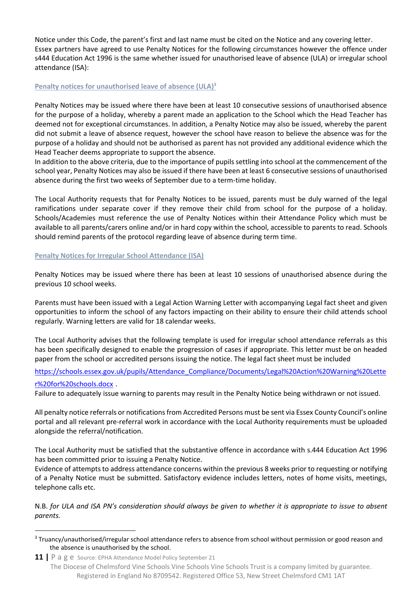Notice under this Code, the parent's first and last name must be cited on the Notice and any covering letter. Essex partners have agreed to use Penalty Notices for the following circumstances however the offence under s444 Education Act 1996 is the same whether issued for unauthorised leave of absence (ULA) or irregular school attendance (ISA):

#### **Penalty notices for unauthorised leave of absence (ULA)<sup>3</sup>**

Penalty Notices may be issued where there have been at least 10 consecutive sessions of unauthorised absence for the purpose of a holiday, whereby a parent made an application to the School which the Head Teacher has deemed not for exceptional circumstances. In addition, a Penalty Notice may also be issued, whereby the parent did not submit a leave of absence request, however the school have reason to believe the absence was for the purpose of a holiday and should not be authorised as parent has not provided any additional evidence which the Head Teacher deems appropriate to support the absence.

In addition to the above criteria, due to the importance of pupils settling into school at the commencement of the school year, Penalty Notices may also be issued if there have been at least 6 consecutive sessions of unauthorised absence during the first two weeks of September due to a term-time holiday.

The Local Authority requests that for Penalty Notices to be issued, parents must be duly warned of the legal ramifications under separate cover if they remove their child from school for the purpose of a holiday. Schools/Academies must reference the use of Penalty Notices within their Attendance Policy which must be available to all parents/carers online and/or in hard copy within the school, accessible to parents to read. Schools should remind parents of the protocol regarding leave of absence during term time.

#### **Penalty Notices for Irregular School Attendance (ISA)**

 $\overline{a}$ 

Penalty Notices may be issued where there has been at least 10 sessions of unauthorised absence during the previous 10 school weeks.

Parents must have been issued with a Legal Action Warning Letter with accompanying Legal fact sheet and given opportunities to inform the school of any factors impacting on their ability to ensure their child attends school regularly. Warning letters are valid for 18 calendar weeks.

The Local Authority advises that the following template is used for irregular school attendance referrals as this has been specifically designed to enable the progression of cases if appropriate. This letter must be on headed paper from the school or accredited persons issuing the notice. The legal fact sheet must be included

[https://schools.essex.gov.uk/pupils/Attendance\\_Compliance/Documents/Legal%20Action%20Warning%20Lette](https://schools.essex.gov.uk/pupils/Attendance_Compliance/Documents/Legal%20Action%20Warning%20Letter%20for%20schools.docx) [r%20for%20schools.docx](https://schools.essex.gov.uk/pupils/Attendance_Compliance/Documents/Legal%20Action%20Warning%20Letter%20for%20schools.docx) .

Failure to adequately issue warning to parents may result in the Penalty Notice being withdrawn or not issued.

All penalty notice referrals or notifications from Accredited Persons must be sent via Essex County Council's online portal and all relevant pre-referral work in accordance with the Local Authority requirements must be uploaded alongside the referral/notification.

The Local Authority must be satisfied that the substantive offence in accordance with s.444 Education Act 1996 has been committed prior to issuing a Penalty Notice.

Evidence of attempts to address attendance concerns within the previous 8 weeks prior to requesting or notifying of a Penalty Notice must be submitted. Satisfactory evidence includes letters, notes of home visits, meetings, telephone calls etc.

N.B. *for ULA and ISA PN's consideration should always be given to whether it is appropriate to issue to absent parents.*

<sup>&</sup>lt;sup>3</sup> Truancy/unauthorised/irregular school attendance refers to absence from school without permission or good reason and the absence is unauthorised by the school.

**<sup>11</sup> |** P a g e Source: EPHA Attendance Model Policy September 21 The Diocese of Chelmsford Vine Schools Vine Schools Vine Schools Trust is a company limited by guarantee. Registered in England No 8709542. Registered Office 53, New Street Chelmsford CM1 1AT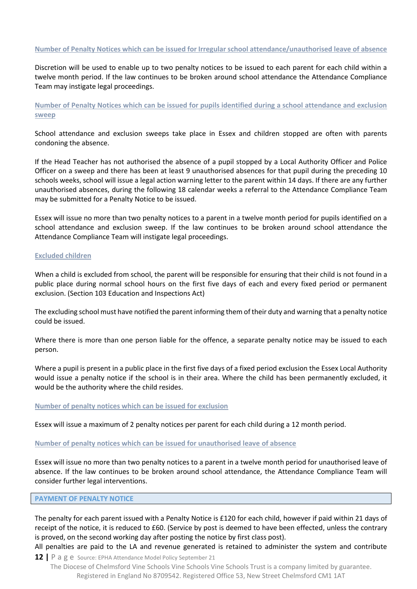#### **Number of Penalty Notices which can be issued for Irregular school attendance/unauthorised leave of absence**

Discretion will be used to enable up to two penalty notices to be issued to each parent for each child within a twelve month period. If the law continues to be broken around school attendance the Attendance Compliance Team may instigate legal proceedings.

**Number of Penalty Notices which can be issued for pupils identified during a school attendance and exclusion sweep** 

School attendance and exclusion sweeps take place in Essex and children stopped are often with parents condoning the absence.

If the Head Teacher has not authorised the absence of a pupil stopped by a Local Authority Officer and Police Officer on a sweep and there has been at least 9 unauthorised absences for that pupil during the preceding 10 schools weeks, school will issue a legal action warning letter to the parent within 14 days. If there are any further unauthorised absences, during the following 18 calendar weeks a referral to the Attendance Compliance Team may be submitted for a Penalty Notice to be issued.

Essex will issue no more than two penalty notices to a parent in a twelve month period for pupils identified on a school attendance and exclusion sweep. If the law continues to be broken around school attendance the Attendance Compliance Team will instigate legal proceedings.

#### **Excluded children**

When a child is excluded from school, the parent will be responsible for ensuring that their child is not found in a public place during normal school hours on the first five days of each and every fixed period or permanent exclusion. (Section 103 Education and Inspections Act)

The excluding school must have notified the parent informing them of their duty and warning that a penalty notice could be issued.

Where there is more than one person liable for the offence, a separate penalty notice may be issued to each person.

Where a pupil is present in a public place in the first five days of a fixed period exclusion the Essex Local Authority would issue a penalty notice if the school is in their area. Where the child has been permanently excluded, it would be the authority where the child resides.

#### **Number of penalty notices which can be issued for exclusion**

Essex will issue a maximum of 2 penalty notices per parent for each child during a 12 month period.

#### **Number of penalty notices which can be issued for unauthorised leave of absence**

Essex will issue no more than two penalty notices to a parent in a twelve month period for unauthorised leave of absence. If the law continues to be broken around school attendance, the Attendance Compliance Team will consider further legal interventions.

#### **PAYMENT OF PENALTY NOTICE**

The penalty for each parent issued with a Penalty Notice is £120 for each child, however if paid within 21 days of receipt of the notice, it is reduced to £60. (Service by post is deemed to have been effected, unless the contrary is proved, on the second working day after posting the notice by first class post).

All penalties are paid to the LA and revenue generated is retained to administer the system and contribute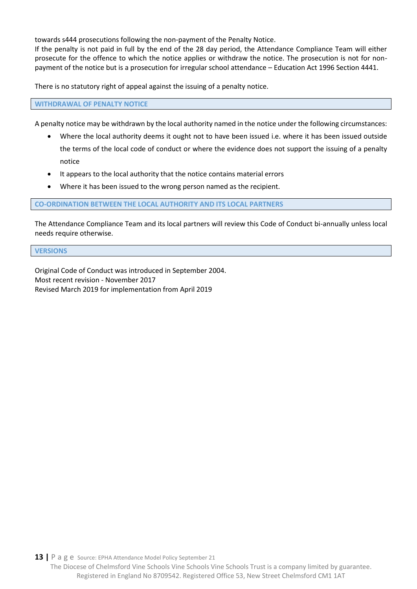towards s444 prosecutions following the non-payment of the Penalty Notice.

If the penalty is not paid in full by the end of the 28 day period, the Attendance Compliance Team will either prosecute for the offence to which the notice applies or withdraw the notice. The prosecution is not for nonpayment of the notice but is a prosecution for irregular school attendance – Education Act 1996 Section 4441.

There is no statutory right of appeal against the issuing of a penalty notice.

**WITHDRAWAL OF PENALTY NOTICE** 

A penalty notice may be withdrawn by the local authority named in the notice under the following circumstances:

- Where the local authority deems it ought not to have been issued i.e. where it has been issued outside the terms of the local code of conduct or where the evidence does not support the issuing of a penalty notice
- It appears to the local authority that the notice contains material errors
- Where it has been issued to the wrong person named as the recipient.

#### **CO-ORDINATION BETWEEN THE LOCAL AUTHORITY AND ITS LOCAL PARTNERS**

The Attendance Compliance Team and its local partners will review this Code of Conduct bi-annually unless local needs require otherwise.

#### **VERSIONS**

Original Code of Conduct was introduced in September 2004. Most recent revision - November 2017 Revised March 2019 for implementation from April 2019